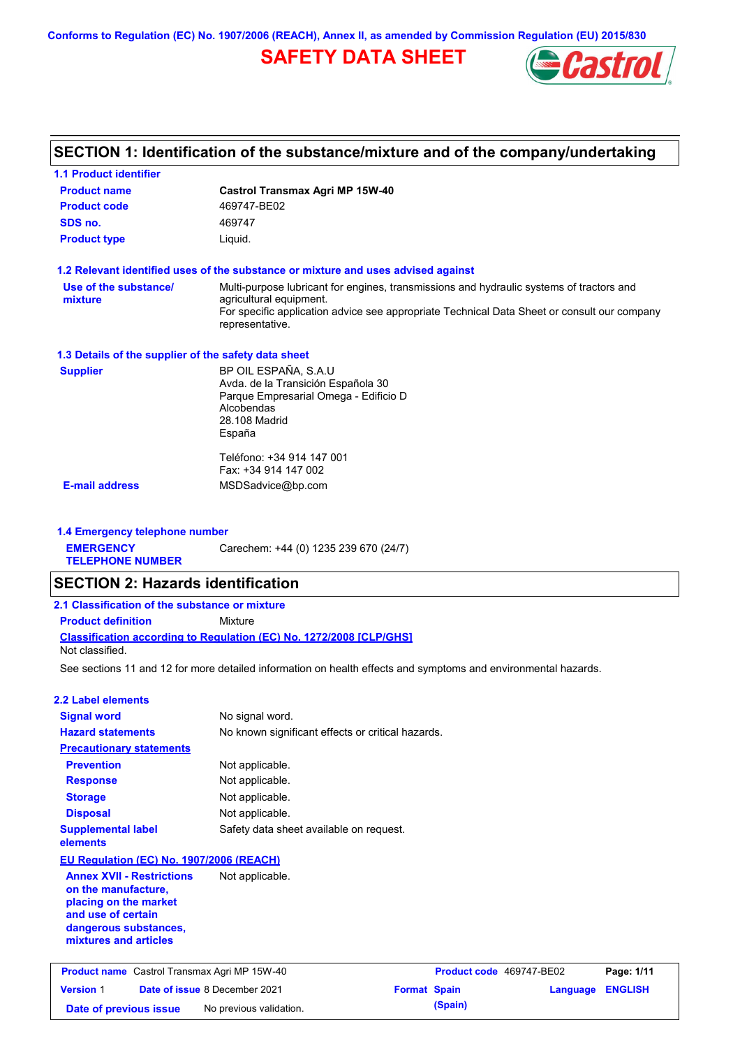**Conforms to Regulation (EC) No. 1907/2006 (REACH), Annex II, as amended by Commission Regulation (EU) 2015/830**

## **SAFETY DATA SHEET**



# **SECTION 1: Identification of the substance/mixture and of the company/undertaking**

| <b>1.1 Product identifier</b>                                                                                                                            |                                                                                                                                              |                     |                          |                 |                |
|----------------------------------------------------------------------------------------------------------------------------------------------------------|----------------------------------------------------------------------------------------------------------------------------------------------|---------------------|--------------------------|-----------------|----------------|
| <b>Product name</b>                                                                                                                                      | <b>Castrol Transmax Agri MP 15W-40</b>                                                                                                       |                     |                          |                 |                |
| <b>Product code</b>                                                                                                                                      | 469747-BE02                                                                                                                                  |                     |                          |                 |                |
| SDS no.                                                                                                                                                  | 469747                                                                                                                                       |                     |                          |                 |                |
| <b>Product type</b>                                                                                                                                      | Liquid.                                                                                                                                      |                     |                          |                 |                |
|                                                                                                                                                          | 1.2 Relevant identified uses of the substance or mixture and uses advised against                                                            |                     |                          |                 |                |
| Use of the substance/                                                                                                                                    | Multi-purpose lubricant for engines, transmissions and hydraulic systems of tractors and                                                     |                     |                          |                 |                |
| mixture                                                                                                                                                  | agricultural equipment.<br>For specific application advice see appropriate Technical Data Sheet or consult our company<br>representative.    |                     |                          |                 |                |
| 1.3 Details of the supplier of the safety data sheet                                                                                                     |                                                                                                                                              |                     |                          |                 |                |
| <b>Supplier</b>                                                                                                                                          | BP OIL ESPAÑA, S.A.U<br>Avda. de la Transición Española 30<br>Parque Empresarial Omega - Edificio D<br>Alcobendas<br>28.108 Madrid<br>España |                     |                          |                 |                |
|                                                                                                                                                          | Teléfono: +34 914 147 001<br>Fax: +34 914 147 002                                                                                            |                     |                          |                 |                |
| <b>E-mail address</b>                                                                                                                                    | MSDSadvice@bp.com                                                                                                                            |                     |                          |                 |                |
|                                                                                                                                                          |                                                                                                                                              |                     |                          |                 |                |
| 1.4 Emergency telephone number<br><b>EMERGENCY</b>                                                                                                       |                                                                                                                                              |                     |                          |                 |                |
| <b>TELEPHONE NUMBER</b>                                                                                                                                  | Carechem: +44 (0) 1235 239 670 (24/7)                                                                                                        |                     |                          |                 |                |
| <b>SECTION 2: Hazards identification</b>                                                                                                                 |                                                                                                                                              |                     |                          |                 |                |
| 2.1 Classification of the substance or mixture                                                                                                           |                                                                                                                                              |                     |                          |                 |                |
| <b>Product definition</b>                                                                                                                                | Mixture                                                                                                                                      |                     |                          |                 |                |
| Not classified.                                                                                                                                          | <b>Classification according to Regulation (EC) No. 1272/2008 [CLP/GHS]</b>                                                                   |                     |                          |                 |                |
|                                                                                                                                                          | See sections 11 and 12 for more detailed information on health effects and symptoms and environmental hazards.                               |                     |                          |                 |                |
| <b>2.2 Label elements</b>                                                                                                                                |                                                                                                                                              |                     |                          |                 |                |
| <b>Signal word</b>                                                                                                                                       | No signal word.                                                                                                                              |                     |                          |                 |                |
| <b>Hazard statements</b>                                                                                                                                 | No known significant effects or critical hazards.                                                                                            |                     |                          |                 |                |
| <b>Precautionary statements</b>                                                                                                                          |                                                                                                                                              |                     |                          |                 |                |
| <b>Prevention</b>                                                                                                                                        | Not applicable.                                                                                                                              |                     |                          |                 |                |
| <b>Response</b>                                                                                                                                          | Not applicable.                                                                                                                              |                     |                          |                 |                |
| <b>Storage</b>                                                                                                                                           | Not applicable.                                                                                                                              |                     |                          |                 |                |
| <b>Disposal</b>                                                                                                                                          | Not applicable.                                                                                                                              |                     |                          |                 |                |
| <b>Supplemental label</b><br>elements                                                                                                                    | Safety data sheet available on request.                                                                                                      |                     |                          |                 |                |
| EU Regulation (EC) No. 1907/2006 (REACH)                                                                                                                 |                                                                                                                                              |                     |                          |                 |                |
| <b>Annex XVII - Restrictions</b><br>on the manufacture,<br>placing on the market<br>and use of certain<br>dangerous substances,<br>mixtures and articles | Not applicable.                                                                                                                              |                     |                          |                 |                |
| <b>Product name</b> Castrol Transmax Agri MP 15W-40                                                                                                      |                                                                                                                                              |                     | Product code 469747-BE02 |                 | Page: 1/11     |
| <b>Version 1</b>                                                                                                                                         | Date of issue 8 December 2021                                                                                                                | <b>Format Spain</b> |                          | <b>Language</b> | <b>ENGLISH</b> |
| Date of previous issue                                                                                                                                   | No previous validation.                                                                                                                      |                     | (Spain)                  |                 |                |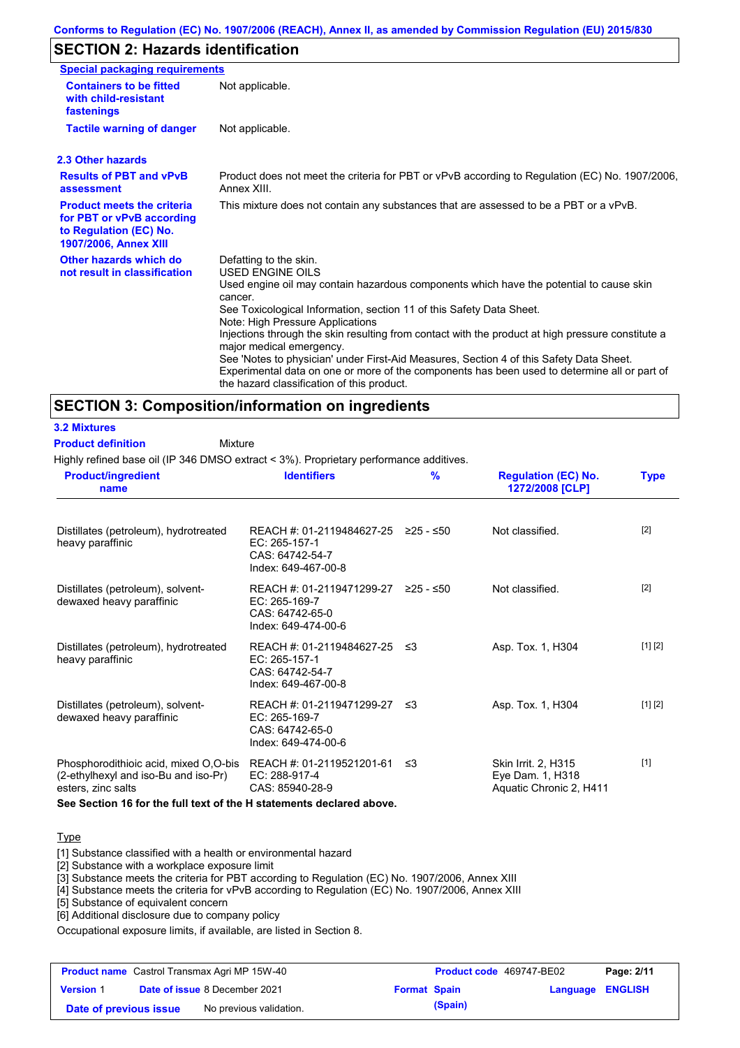## **SECTION 2: Hazards identification**

| <b>Special packaging requirements</b>                                                                                    |                                                                                                                                                                                                                                                                                                                                                                                                                                                                                                                                                                                                                                               |
|--------------------------------------------------------------------------------------------------------------------------|-----------------------------------------------------------------------------------------------------------------------------------------------------------------------------------------------------------------------------------------------------------------------------------------------------------------------------------------------------------------------------------------------------------------------------------------------------------------------------------------------------------------------------------------------------------------------------------------------------------------------------------------------|
| <b>Containers to be fitted</b><br>with child-resistant<br>fastenings                                                     | Not applicable.                                                                                                                                                                                                                                                                                                                                                                                                                                                                                                                                                                                                                               |
| <b>Tactile warning of danger</b>                                                                                         | Not applicable.                                                                                                                                                                                                                                                                                                                                                                                                                                                                                                                                                                                                                               |
| 2.3 Other hazards                                                                                                        |                                                                                                                                                                                                                                                                                                                                                                                                                                                                                                                                                                                                                                               |
| <b>Results of PBT and vPvB</b><br>assessment                                                                             | Product does not meet the criteria for PBT or vPvB according to Regulation (EC) No. 1907/2006,<br>Annex XIII.                                                                                                                                                                                                                                                                                                                                                                                                                                                                                                                                 |
| <b>Product meets the criteria</b><br>for PBT or vPvB according<br>to Regulation (EC) No.<br><b>1907/2006, Annex XIII</b> | This mixture does not contain any substances that are assessed to be a PBT or a vPvB.                                                                                                                                                                                                                                                                                                                                                                                                                                                                                                                                                         |
| Other hazards which do<br>not result in classification                                                                   | Defatting to the skin.<br><b>USED ENGINE OILS</b><br>Used engine oil may contain hazardous components which have the potential to cause skin<br>cancer.<br>See Toxicological Information, section 11 of this Safety Data Sheet.<br>Note: High Pressure Applications<br>Injections through the skin resulting from contact with the product at high pressure constitute a<br>major medical emergency.<br>See 'Notes to physician' under First-Aid Measures, Section 4 of this Safety Data Sheet.<br>Experimental data on one or more of the components has been used to determine all or part of<br>the hazard classification of this product. |

## **SECTION 3: Composition/information on ingredients**

| <b>Product definition</b><br>Highly refined base oil (IP 346 DMSO extract < 3%). Proprietary performance additives.              | Mixture                                                                                                    |   |                                                                           |             |
|----------------------------------------------------------------------------------------------------------------------------------|------------------------------------------------------------------------------------------------------------|---|---------------------------------------------------------------------------|-------------|
| <b>Product/ingredient</b><br>name                                                                                                | <b>Identifiers</b>                                                                                         | % | <b>Regulation (EC) No.</b><br>1272/2008 [CLP]                             | <b>Type</b> |
| Distillates (petroleum), hydrotreated<br>heavy paraffinic                                                                        | REACH #: 01-2119484627-25 $\geq$ 25 - $\leq$ 50<br>EC: 265-157-1<br>CAS: 64742-54-7<br>Index: 649-467-00-8 |   | Not classified.                                                           | $[2]$       |
| Distillates (petroleum), solvent-<br>dewaxed heavy paraffinic                                                                    | REACH #: 01-2119471299-27 ≥25 - ≤50<br>EC: 265-169-7<br>CAS: 64742-65-0<br>Index: 649-474-00-6             |   | Not classified.                                                           | $[2]$       |
| Distillates (petroleum), hydrotreated<br>heavy paraffinic                                                                        | REACH #: 01-2119484627-25 ≤3<br>EC: 265-157-1<br>CAS: 64742-54-7<br>Index: 649-467-00-8                    |   | Asp. Tox. 1, H304                                                         | [1] [2]     |
| Distillates (petroleum), solvent-<br>dewaxed heavy paraffinic                                                                    | REACH #: 01-2119471299-27 ≤3<br>EC: 265-169-7<br>CAS: 64742-65-0<br>Index: 649-474-00-6                    |   | Asp. Tox. 1, H304                                                         | [1] [2]     |
| Phosphorodithioic acid, mixed O,O-bis REACH #: 01-2119521201-61 ≤3<br>(2-ethylhexyl and iso-Bu and iso-Pr)<br>esters, zinc salts | EC: 288-917-4<br>CAS: 85940-28-9                                                                           |   | <b>Skin Irrit. 2, H315</b><br>Eye Dam. 1, H318<br>Aquatic Chronic 2, H411 | $[1]$       |

**See Section 16 for the full text of the H statements declared above.**

#### **Type**

**3.2 Mixtures**

[1] Substance classified with a health or environmental hazard

[2] Substance with a workplace exposure limit

[3] Substance meets the criteria for PBT according to Regulation (EC) No. 1907/2006, Annex XIII

[4] Substance meets the criteria for vPvB according to Regulation (EC) No. 1907/2006, Annex XIII

[5] Substance of equivalent concern

[6] Additional disclosure due to company policy

Occupational exposure limits, if available, are listed in Section 8.

|                        | <b>Product name</b> Castrol Transmax Agri MP 15W-40 |                     | <b>Product code</b> 469747-BE02 |                         | Page: 2/11 |
|------------------------|-----------------------------------------------------|---------------------|---------------------------------|-------------------------|------------|
| <b>Version 1</b>       | <b>Date of issue 8 December 2021</b>                | <b>Format Spain</b> |                                 | <b>Language ENGLISH</b> |            |
| Date of previous issue | No previous validation.                             |                     | (Spain)                         |                         |            |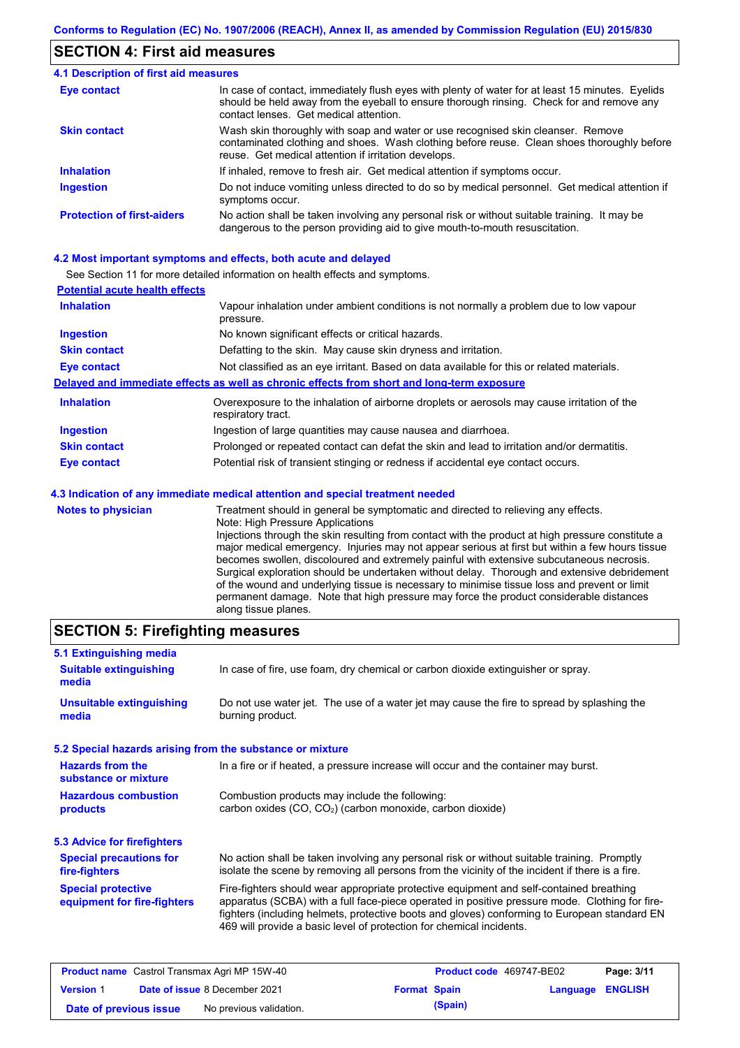### **SECTION 4: First aid measures**

| <b>4.1 Description of first aid measures</b> |                                                                                                                                                                                                                                         |
|----------------------------------------------|-----------------------------------------------------------------------------------------------------------------------------------------------------------------------------------------------------------------------------------------|
| <b>Eye contact</b>                           | In case of contact, immediately flush eyes with plenty of water for at least 15 minutes. Eyelids<br>should be held away from the eyeball to ensure thorough rinsing. Check for and remove any<br>contact lenses. Get medical attention. |
| <b>Skin contact</b>                          | Wash skin thoroughly with soap and water or use recognised skin cleanser. Remove<br>contaminated clothing and shoes. Wash clothing before reuse. Clean shoes thoroughly before<br>reuse. Get medical attention if irritation develops.  |
| <b>Inhalation</b>                            | If inhaled, remove to fresh air. Get medical attention if symptoms occur.                                                                                                                                                               |
| <b>Ingestion</b>                             | Do not induce vomiting unless directed to do so by medical personnel. Get medical attention if<br>symptoms occur.                                                                                                                       |
| <b>Protection of first-aiders</b>            | No action shall be taken involving any personal risk or without suitable training. It may be<br>dangerous to the person providing aid to give mouth-to-mouth resuscitation.                                                             |

#### **4.2 Most important symptoms and effects, both acute and delayed**

See Section 11 for more detailed information on health effects and symptoms.

| <b>Potential acute health effects</b> |                                                                                                                       |
|---------------------------------------|-----------------------------------------------------------------------------------------------------------------------|
| <b>Inhalation</b>                     | Vapour inhalation under ambient conditions is not normally a problem due to low vapour<br>pressure.                   |
| <b>Ingestion</b>                      | No known significant effects or critical hazards.                                                                     |
| <b>Skin contact</b>                   | Defatting to the skin. May cause skin dryness and irritation.                                                         |
| Eye contact                           | Not classified as an eye irritant. Based on data available for this or related materials.                             |
|                                       | Delayed and immediate effects as well as chronic effects from short and long-term exposure                            |
| <b>Inhalation</b>                     | Overexposure to the inhalation of airborne droplets or aerosols may cause irritation of the<br>respiratory tract.     |
| <b>Ingestion</b>                      | Ingestion of large quantities may cause nausea and diarrhoea.                                                         |
| <b>Skin contact</b>                   | Prolonged or repeated contact can defat the skin and lead to irritation and/or dermatitis.                            |
| <b>Eye contact</b>                    | Potential risk of transient stinging or redness if accidental eye contact occurs.                                     |
|                                       | 4.3 Indication of any immediate medical attention and special treatment needed                                        |
| <b>Notes to physician</b>             | Treatment should in general be symptomatic and directed to relieving any effects.<br>Noto: High Drogouro Applications |

Note: High Pressure Applications Injections through the skin resulting from contact with the product at high pressure constitute a major medical emergency. Injuries may not appear serious at first but within a few hours tissue becomes swollen, discoloured and extremely painful with extensive subcutaneous necrosis. Surgical exploration should be undertaken without delay. Thorough and extensive debridement of the wound and underlying tissue is necessary to minimise tissue loss and prevent or limit permanent damage. Note that high pressure may force the product considerable distances along tissue planes.

## **SECTION 5: Firefighting measures**

| 5.1 Extinguishing media                                   |                                                                                                                                                                                                                                                                                                                                                                   |
|-----------------------------------------------------------|-------------------------------------------------------------------------------------------------------------------------------------------------------------------------------------------------------------------------------------------------------------------------------------------------------------------------------------------------------------------|
| <b>Suitable extinguishing</b><br>media                    | In case of fire, use foam, dry chemical or carbon dioxide extinguisher or spray.                                                                                                                                                                                                                                                                                  |
| <b>Unsuitable extinguishing</b><br>media                  | Do not use water jet. The use of a water jet may cause the fire to spread by splashing the<br>burning product.                                                                                                                                                                                                                                                    |
| 5.2 Special hazards arising from the substance or mixture |                                                                                                                                                                                                                                                                                                                                                                   |
| <b>Hazards from the</b><br>substance or mixture           | In a fire or if heated, a pressure increase will occur and the container may burst.                                                                                                                                                                                                                                                                               |
| <b>Hazardous combustion</b><br>products                   | Combustion products may include the following:<br>carbon oxides (CO, CO <sub>2</sub> ) (carbon monoxide, carbon dioxide)                                                                                                                                                                                                                                          |
| 5.3 Advice for firefighters                               |                                                                                                                                                                                                                                                                                                                                                                   |
| <b>Special precautions for</b><br>fire-fighters           | No action shall be taken involving any personal risk or without suitable training. Promptly<br>isolate the scene by removing all persons from the vicinity of the incident if there is a fire.                                                                                                                                                                    |
| <b>Special protective</b><br>equipment for fire-fighters  | Fire-fighters should wear appropriate protective equipment and self-contained breathing<br>apparatus (SCBA) with a full face-piece operated in positive pressure mode. Clothing for fire-<br>fighters (including helmets, protective boots and gloves) conforming to European standard EN<br>469 will provide a basic level of protection for chemical incidents. |

|                        | <b>Product name</b> Castrol Transmax Agri MP 15W-40 |                     | <b>Product code</b> 469747-BE02 |                  | Page: 3/11 |
|------------------------|-----------------------------------------------------|---------------------|---------------------------------|------------------|------------|
| <b>Version 1</b>       | <b>Date of issue 8 December 2021</b>                | <b>Format Spain</b> |                                 | Language ENGLISH |            |
| Date of previous issue | No previous validation.                             |                     | (Spain)                         |                  |            |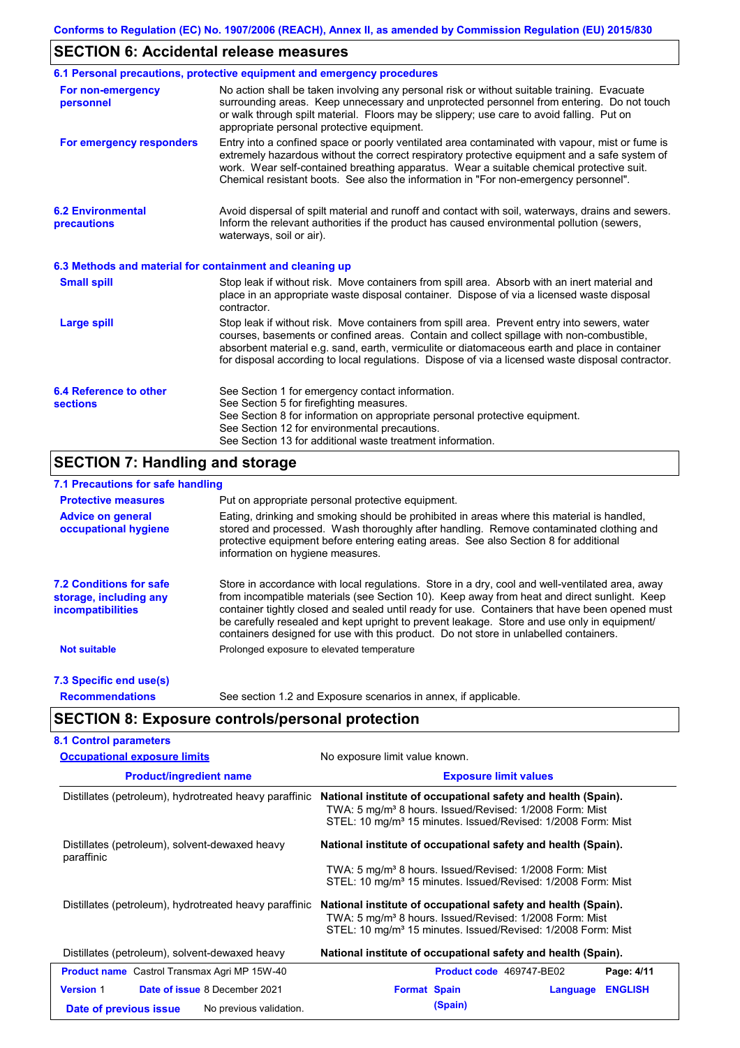## **SECTION 6: Accidental release measures**

|                                                          | 6.1 Personal precautions, protective equipment and emergency procedures                                                                                                                                                                                                                                                                                                                        |
|----------------------------------------------------------|------------------------------------------------------------------------------------------------------------------------------------------------------------------------------------------------------------------------------------------------------------------------------------------------------------------------------------------------------------------------------------------------|
| For non-emergency<br>personnel                           | No action shall be taken involving any personal risk or without suitable training. Evacuate<br>surrounding areas. Keep unnecessary and unprotected personnel from entering. Do not touch<br>or walk through spilt material. Floors may be slippery; use care to avoid falling. Put on<br>appropriate personal protective equipment.                                                            |
| For emergency responders                                 | Entry into a confined space or poorly ventilated area contaminated with vapour, mist or fume is<br>extremely hazardous without the correct respiratory protective equipment and a safe system of<br>work. Wear self-contained breathing apparatus. Wear a suitable chemical protective suit.<br>Chemical resistant boots. See also the information in "For non-emergency personnel".           |
| <b>6.2 Environmental</b><br>precautions                  | Avoid dispersal of spilt material and runoff and contact with soil, waterways, drains and sewers.<br>Inform the relevant authorities if the product has caused environmental pollution (sewers,<br>waterways, soil or air).                                                                                                                                                                    |
| 6.3 Methods and material for containment and cleaning up |                                                                                                                                                                                                                                                                                                                                                                                                |
| <b>Small spill</b>                                       | Stop leak if without risk. Move containers from spill area. Absorb with an inert material and<br>place in an appropriate waste disposal container. Dispose of via a licensed waste disposal<br>contractor.                                                                                                                                                                                     |
| <b>Large spill</b>                                       | Stop leak if without risk. Move containers from spill area. Prevent entry into sewers, water<br>courses, basements or confined areas. Contain and collect spillage with non-combustible,<br>absorbent material e.g. sand, earth, vermiculite or diatomaceous earth and place in container<br>for disposal according to local regulations. Dispose of via a licensed waste disposal contractor. |
| 6.4 Reference to other<br><b>sections</b>                | See Section 1 for emergency contact information.<br>See Section 5 for firefighting measures.<br>See Section 8 for information on appropriate personal protective equipment.<br>See Section 12 for environmental precautions.<br>See Section 13 for additional waste treatment information.                                                                                                     |

## **SECTION 7: Handling and storage**

### **7.1 Precautions for safe handling**

| <b>Protective measures</b>                                                           | Put on appropriate personal protective equipment.                                                                                                                                                                                                                                                                                                                                                                                                                                        |
|--------------------------------------------------------------------------------------|------------------------------------------------------------------------------------------------------------------------------------------------------------------------------------------------------------------------------------------------------------------------------------------------------------------------------------------------------------------------------------------------------------------------------------------------------------------------------------------|
| <b>Advice on general</b><br>occupational hygiene                                     | Eating, drinking and smoking should be prohibited in areas where this material is handled,<br>stored and processed. Wash thoroughly after handling. Remove contaminated clothing and<br>protective equipment before entering eating areas. See also Section 8 for additional<br>information on hygiene measures.                                                                                                                                                                         |
| <b>7.2 Conditions for safe</b><br>storage, including any<br><i>incompatibilities</i> | Store in accordance with local requiations. Store in a dry, cool and well-ventilated area, away<br>from incompatible materials (see Section 10). Keep away from heat and direct sunlight. Keep<br>container tightly closed and sealed until ready for use. Containers that have been opened must<br>be carefully resealed and kept upright to prevent leakage. Store and use only in equipment/<br>containers designed for use with this product. Do not store in unlabelled containers. |
| <b>Not suitable</b>                                                                  | Prolonged exposure to elevated temperature                                                                                                                                                                                                                                                                                                                                                                                                                                               |
| 7.3 Specific end use(s)                                                              |                                                                                                                                                                                                                                                                                                                                                                                                                                                                                          |
| <b>Recommendations</b>                                                               | See section 1.2 and Exposure scenarios in annex, if applicable.                                                                                                                                                                                                                                                                                                                                                                                                                          |

## **SECTION 8: Exposure controls/personal protection**

| <b>Occupational exposure limits</b>                          | No exposure limit value known.                                                                                                                                                                                   |
|--------------------------------------------------------------|------------------------------------------------------------------------------------------------------------------------------------------------------------------------------------------------------------------|
| <b>Product/ingredient name</b>                               | <b>Exposure limit values</b>                                                                                                                                                                                     |
| Distillates (petroleum), hydrotreated heavy paraffinic       | National institute of occupational safety and health (Spain).<br>TWA: 5 mg/m <sup>3</sup> 8 hours. Issued/Revised: 1/2008 Form: Mist<br>STEL: 10 mg/m <sup>3</sup> 15 minutes. Issued/Revised: 1/2008 Form: Mist |
| Distillates (petroleum), solvent-dewaxed heavy<br>paraffinic | National institute of occupational safety and health (Spain).                                                                                                                                                    |
|                                                              | TWA: 5 mg/m <sup>3</sup> 8 hours. Issued/Revised: 1/2008 Form: Mist<br>STEL: 10 mg/m <sup>3</sup> 15 minutes. Issued/Revised: 1/2008 Form: Mist                                                                  |
| Distillates (petroleum), hydrotreated heavy paraffinic       | National institute of occupational safety and health (Spain).<br>TWA: 5 mg/m <sup>3</sup> 8 hours. Issued/Revised: 1/2008 Form: Mist<br>STEL: 10 mg/m <sup>3</sup> 15 minutes. Issued/Revised: 1/2008 Form: Mist |
| Distillates (petroleum), solvent-dewaxed heavy               | National institute of occupational safety and health (Spain).                                                                                                                                                    |
| <b>Product name</b> Castrol Transmax Agri MP 15W-40          | Page: 4/11<br>Product code 469747-BE02                                                                                                                                                                           |
| <b>Version 1</b><br>Date of issue 8 December 2021            | <b>Format Spain</b><br><b>ENGLISH</b><br>Language                                                                                                                                                                |
| No previous validation.<br>Date of previous issue            | (Spain)                                                                                                                                                                                                          |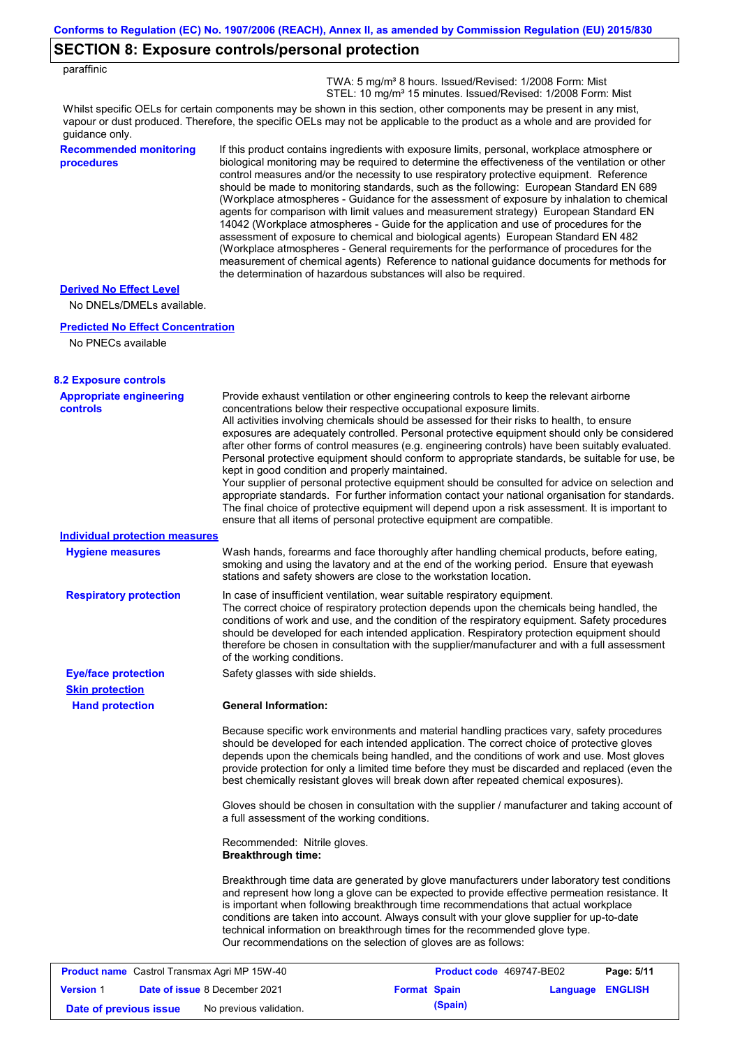### **SECTION 8: Exposure controls/personal protection**

| paraffinic |
|------------|
|------------|

 TWA: 5 mg/m³ 8 hours. Issued/Revised: 1/2008 Form: Mist STEL: 10 mg/m<sup>3</sup> 15 minutes. Issued/Revised: 1/2008 Form: Mist

Whilst specific OELs for certain components may be shown in this section, other components may be present in any mist, vapour or dust produced. Therefore, the specific OELs may not be applicable to the product as a whole and are provided for guidance only.

### **Recommended monitoring procedures**

If this product contains ingredients with exposure limits, personal, workplace atmosphere or biological monitoring may be required to determine the effectiveness of the ventilation or other control measures and/or the necessity to use respiratory protective equipment. Reference should be made to monitoring standards, such as the following: European Standard EN 689 (Workplace atmospheres - Guidance for the assessment of exposure by inhalation to chemical agents for comparison with limit values and measurement strategy) European Standard EN 14042 (Workplace atmospheres - Guide for the application and use of procedures for the assessment of exposure to chemical and biological agents) European Standard EN 482 (Workplace atmospheres - General requirements for the performance of procedures for the measurement of chemical agents) Reference to national guidance documents for methods for the determination of hazardous substances will also be required.

#### **Derived No Effect Level**

No DNELs/DMELs available.

#### **Predicted No Effect Concentration**

No PNECs available

| <b>8.2 Exposure controls</b>                        |                                                                                                                                                                                                                                                                                                                                                                                                                                                                                                                                                                                                                                                                                                                                                                                                                                                                                                                                                                                                         |                          |                  |            |
|-----------------------------------------------------|---------------------------------------------------------------------------------------------------------------------------------------------------------------------------------------------------------------------------------------------------------------------------------------------------------------------------------------------------------------------------------------------------------------------------------------------------------------------------------------------------------------------------------------------------------------------------------------------------------------------------------------------------------------------------------------------------------------------------------------------------------------------------------------------------------------------------------------------------------------------------------------------------------------------------------------------------------------------------------------------------------|--------------------------|------------------|------------|
| <b>Appropriate engineering</b><br><b>controls</b>   | Provide exhaust ventilation or other engineering controls to keep the relevant airborne<br>concentrations below their respective occupational exposure limits.<br>All activities involving chemicals should be assessed for their risks to health, to ensure<br>exposures are adequately controlled. Personal protective equipment should only be considered<br>after other forms of control measures (e.g. engineering controls) have been suitably evaluated.<br>Personal protective equipment should conform to appropriate standards, be suitable for use, be<br>kept in good condition and properly maintained.<br>Your supplier of personal protective equipment should be consulted for advice on selection and<br>appropriate standards. For further information contact your national organisation for standards.<br>The final choice of protective equipment will depend upon a risk assessment. It is important to<br>ensure that all items of personal protective equipment are compatible. |                          |                  |            |
| <b>Individual protection measures</b>               |                                                                                                                                                                                                                                                                                                                                                                                                                                                                                                                                                                                                                                                                                                                                                                                                                                                                                                                                                                                                         |                          |                  |            |
| <b>Hygiene measures</b>                             | Wash hands, forearms and face thoroughly after handling chemical products, before eating,<br>smoking and using the lavatory and at the end of the working period. Ensure that eyewash<br>stations and safety showers are close to the workstation location.                                                                                                                                                                                                                                                                                                                                                                                                                                                                                                                                                                                                                                                                                                                                             |                          |                  |            |
| <b>Respiratory protection</b>                       | In case of insufficient ventilation, wear suitable respiratory equipment.<br>The correct choice of respiratory protection depends upon the chemicals being handled, the<br>conditions of work and use, and the condition of the respiratory equipment. Safety procedures<br>should be developed for each intended application. Respiratory protection equipment should<br>therefore be chosen in consultation with the supplier/manufacturer and with a full assessment<br>of the working conditions.                                                                                                                                                                                                                                                                                                                                                                                                                                                                                                   |                          |                  |            |
| <b>Eye/face protection</b>                          | Safety glasses with side shields.                                                                                                                                                                                                                                                                                                                                                                                                                                                                                                                                                                                                                                                                                                                                                                                                                                                                                                                                                                       |                          |                  |            |
| <b>Skin protection</b>                              |                                                                                                                                                                                                                                                                                                                                                                                                                                                                                                                                                                                                                                                                                                                                                                                                                                                                                                                                                                                                         |                          |                  |            |
| <b>Hand protection</b>                              | <b>General Information:</b>                                                                                                                                                                                                                                                                                                                                                                                                                                                                                                                                                                                                                                                                                                                                                                                                                                                                                                                                                                             |                          |                  |            |
|                                                     | Because specific work environments and material handling practices vary, safety procedures<br>should be developed for each intended application. The correct choice of protective gloves<br>depends upon the chemicals being handled, and the conditions of work and use. Most gloves<br>provide protection for only a limited time before they must be discarded and replaced (even the<br>best chemically resistant gloves will break down after repeated chemical exposures).                                                                                                                                                                                                                                                                                                                                                                                                                                                                                                                        |                          |                  |            |
|                                                     | Gloves should be chosen in consultation with the supplier / manufacturer and taking account of<br>a full assessment of the working conditions.                                                                                                                                                                                                                                                                                                                                                                                                                                                                                                                                                                                                                                                                                                                                                                                                                                                          |                          |                  |            |
|                                                     | Recommended: Nitrile gloves.<br><b>Breakthrough time:</b>                                                                                                                                                                                                                                                                                                                                                                                                                                                                                                                                                                                                                                                                                                                                                                                                                                                                                                                                               |                          |                  |            |
|                                                     | Breakthrough time data are generated by glove manufacturers under laboratory test conditions<br>and represent how long a glove can be expected to provide effective permeation resistance. It<br>is important when following breakthrough time recommendations that actual workplace<br>conditions are taken into account. Always consult with your glove supplier for up-to-date<br>technical information on breakthrough times for the recommended glove type.<br>Our recommendations on the selection of gloves are as follows:                                                                                                                                                                                                                                                                                                                                                                                                                                                                      |                          |                  |            |
| <b>Product name</b> Castrol Transmax Agri MP 15W-40 |                                                                                                                                                                                                                                                                                                                                                                                                                                                                                                                                                                                                                                                                                                                                                                                                                                                                                                                                                                                                         | Product code 469747-BE02 |                  | Page: 5/11 |
| <b>Version 1</b>                                    | Date of issue 8 December 2021                                                                                                                                                                                                                                                                                                                                                                                                                                                                                                                                                                                                                                                                                                                                                                                                                                                                                                                                                                           | <b>Format Spain</b>      | Language ENGLISH |            |

**Date of previous issue** No previous validation. **(Spain)** (Spain)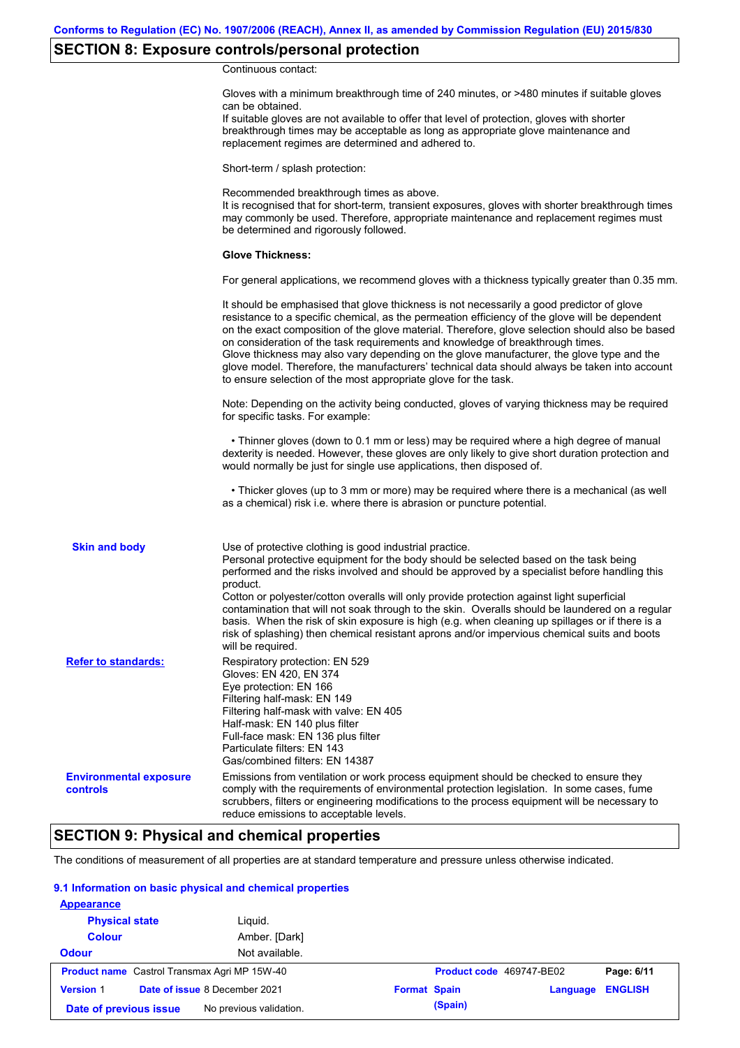## **SECTION 8: Exposure controls/personal protection**

Continuous contact:

|                                           | Gloves with a minimum breakthrough time of 240 minutes, or >480 minutes if suitable gloves<br>can be obtained.<br>If suitable gloves are not available to offer that level of protection, gloves with shorter<br>breakthrough times may be acceptable as long as appropriate glove maintenance and<br>replacement regimes are determined and adhered to.                                                                                                                                                                                                                                                                                                                              |
|-------------------------------------------|---------------------------------------------------------------------------------------------------------------------------------------------------------------------------------------------------------------------------------------------------------------------------------------------------------------------------------------------------------------------------------------------------------------------------------------------------------------------------------------------------------------------------------------------------------------------------------------------------------------------------------------------------------------------------------------|
|                                           | Short-term / splash protection:                                                                                                                                                                                                                                                                                                                                                                                                                                                                                                                                                                                                                                                       |
|                                           | Recommended breakthrough times as above.<br>It is recognised that for short-term, transient exposures, gloves with shorter breakthrough times<br>may commonly be used. Therefore, appropriate maintenance and replacement regimes must<br>be determined and rigorously followed.                                                                                                                                                                                                                                                                                                                                                                                                      |
|                                           | <b>Glove Thickness:</b>                                                                                                                                                                                                                                                                                                                                                                                                                                                                                                                                                                                                                                                               |
|                                           | For general applications, we recommend gloves with a thickness typically greater than 0.35 mm.                                                                                                                                                                                                                                                                                                                                                                                                                                                                                                                                                                                        |
|                                           | It should be emphasised that glove thickness is not necessarily a good predictor of glove<br>resistance to a specific chemical, as the permeation efficiency of the glove will be dependent<br>on the exact composition of the glove material. Therefore, glove selection should also be based<br>on consideration of the task requirements and knowledge of breakthrough times.<br>Glove thickness may also vary depending on the glove manufacturer, the glove type and the<br>glove model. Therefore, the manufacturers' technical data should always be taken into account<br>to ensure selection of the most appropriate glove for the task.                                     |
|                                           | Note: Depending on the activity being conducted, gloves of varying thickness may be required<br>for specific tasks. For example:                                                                                                                                                                                                                                                                                                                                                                                                                                                                                                                                                      |
|                                           | • Thinner gloves (down to 0.1 mm or less) may be required where a high degree of manual<br>dexterity is needed. However, these gloves are only likely to give short duration protection and<br>would normally be just for single use applications, then disposed of.                                                                                                                                                                                                                                                                                                                                                                                                                  |
|                                           | • Thicker gloves (up to 3 mm or more) may be required where there is a mechanical (as well<br>as a chemical) risk i.e. where there is abrasion or puncture potential.                                                                                                                                                                                                                                                                                                                                                                                                                                                                                                                 |
| <b>Skin and body</b>                      | Use of protective clothing is good industrial practice.<br>Personal protective equipment for the body should be selected based on the task being<br>performed and the risks involved and should be approved by a specialist before handling this<br>product.<br>Cotton or polyester/cotton overalls will only provide protection against light superficial<br>contamination that will not soak through to the skin. Overalls should be laundered on a regular<br>basis. When the risk of skin exposure is high (e.g. when cleaning up spillages or if there is a<br>risk of splashing) then chemical resistant aprons and/or impervious chemical suits and boots<br>will be required. |
| <b>Refer to standards:</b>                | Respiratory protection: EN 529<br>Gloves: EN 420, EN 374<br>Eye protection: EN 166<br>Filtering half-mask: EN 149<br>Filtering half-mask with valve: EN 405<br>Half-mask: EN 140 plus filter<br>Full-face mask: EN 136 plus filter<br>Particulate filters: EN 143<br>Gas/combined filters: EN 14387                                                                                                                                                                                                                                                                                                                                                                                   |
| <b>Environmental exposure</b><br>controls | Emissions from ventilation or work process equipment should be checked to ensure they<br>comply with the requirements of environmental protection legislation. In some cases, fume<br>scrubbers, filters or engineering modifications to the process equipment will be necessary to<br>reduce emissions to acceptable levels.                                                                                                                                                                                                                                                                                                                                                         |

## **SECTION 9: Physical and chemical properties**

The conditions of measurement of all properties are at standard temperature and pressure unless otherwise indicated.

### **9.1 Information on basic physical and chemical properties**

| <b>Appearance</b>      |                                                     |                                                   |
|------------------------|-----------------------------------------------------|---------------------------------------------------|
| <b>Physical state</b>  | Liquid.                                             |                                                   |
| <b>Colour</b>          | Amber. [Dark]                                       |                                                   |
| <b>Odour</b>           | Not available.                                      |                                                   |
|                        | <b>Product name</b> Castrol Transmax Agri MP 15W-40 | Product code 469747-BE02<br>Page: 6/11            |
| <b>Version 1</b>       | Date of issue 8 December 2021                       | <b>Format Spain</b><br><b>ENGLISH</b><br>Language |
| Date of previous issue | No previous validation.                             | (Spain)                                           |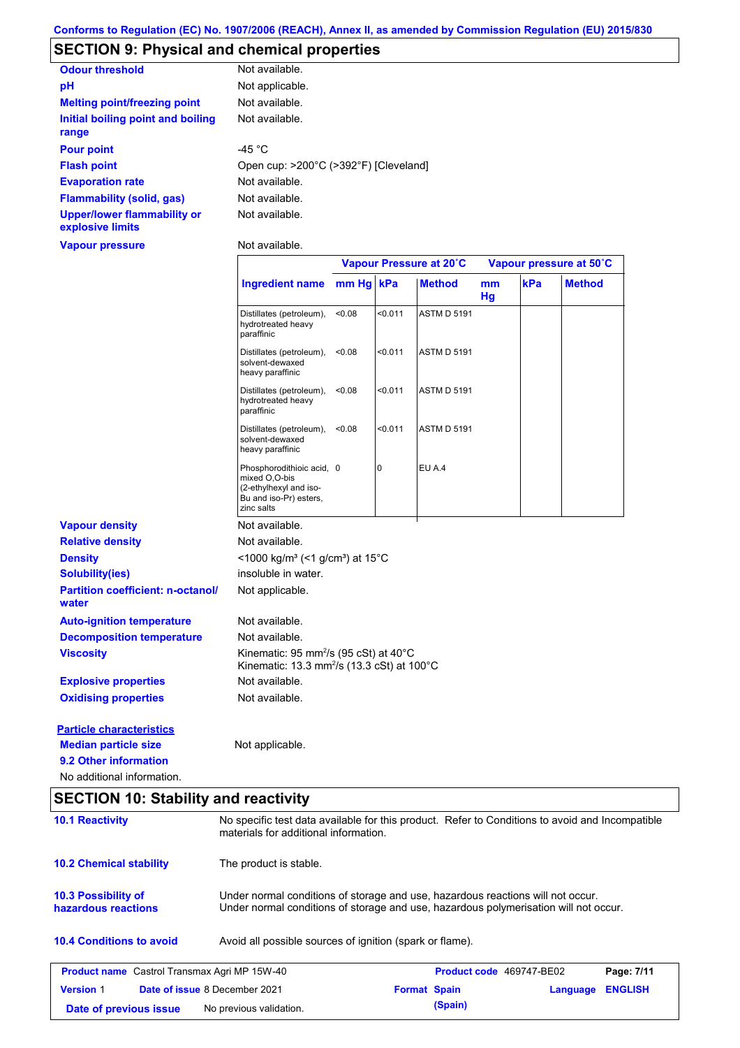## **SECTION 9: Physical and chemical properties**

| <b>Odour threshold</b>                                 | Not available.                        |
|--------------------------------------------------------|---------------------------------------|
| рH                                                     | Not applicable.                       |
| <b>Melting point/freezing point</b>                    | Not available.                        |
| Initial boiling point and boiling<br>range             | Not available.                        |
| <b>Pour point</b>                                      | -45 $^{\circ}$ C                      |
| <b>Flash point</b>                                     | Open cup: >200°C (>392°F) [Cleveland] |
| <b>Evaporation rate</b>                                | Not available.                        |
| <b>Flammability (solid, gas)</b>                       | Not available.                        |
| <b>Upper/lower flammability or</b><br>explosive limits | Not available.                        |

**Vapour pressure**

Not available.

|                                                   |                                                                                                              | Vapour Pressure at 20°C |         |                    | Vapour pressure at 50°C |     |               |
|---------------------------------------------------|--------------------------------------------------------------------------------------------------------------|-------------------------|---------|--------------------|-------------------------|-----|---------------|
|                                                   | Ingredient name mm Hg kPa                                                                                    |                         |         | <b>Method</b>      | mm<br>Hg                | kPa | <b>Method</b> |
|                                                   | Distillates (petroleum),<br>hydrotreated heavy<br>paraffinic                                                 | < 0.08                  | < 0.011 | <b>ASTM D 5191</b> |                         |     |               |
|                                                   | Distillates (petroleum),<br>solvent-dewaxed<br>heavy paraffinic                                              | < 0.08                  | < 0.011 | <b>ASTM D 5191</b> |                         |     |               |
|                                                   | Distillates (petroleum),<br>hydrotreated heavy<br>paraffinic                                                 | < 0.08                  | < 0.011 | <b>ASTM D 5191</b> |                         |     |               |
|                                                   | Distillates (petroleum),<br>solvent-dewaxed<br>heavy paraffinic                                              | < 0.08                  | < 0.011 | <b>ASTM D 5191</b> |                         |     |               |
|                                                   | Phosphorodithioic acid, 0<br>mixed O,O-bis<br>(2-ethylhexyl and iso-<br>Bu and iso-Pr) esters,<br>zinc salts |                         | 0       | EU A.4             |                         |     |               |
| <b>Vapour density</b>                             | Not available.                                                                                               |                         |         |                    |                         |     |               |
| <b>Relative density</b>                           | Not available.                                                                                               |                         |         |                    |                         |     |               |
| <b>Density</b>                                    | <1000 kg/m <sup>3</sup> (<1 g/cm <sup>3</sup> ) at 15°C                                                      |                         |         |                    |                         |     |               |
| <b>Solubility(ies)</b>                            | insoluble in water.                                                                                          |                         |         |                    |                         |     |               |
| <b>Partition coefficient: n-octanol/</b><br>water | Not applicable.                                                                                              |                         |         |                    |                         |     |               |
| <b>Auto-ignition temperature</b>                  | Not available.                                                                                               |                         |         |                    |                         |     |               |
| <b>Decomposition temperature</b>                  | Not available.                                                                                               |                         |         |                    |                         |     |               |
| <b>Viscosity</b>                                  | Kinematic: 95 mm <sup>2</sup> /s (95 cSt) at 40°C<br>Kinematic: 13.3 mm <sup>2</sup> /s (13.3 cSt) at 100°C  |                         |         |                    |                         |     |               |
| <b>Explosive properties</b>                       | Not available.                                                                                               |                         |         |                    |                         |     |               |
| <b>Oxidising properties</b>                       | Not available.                                                                                               |                         |         |                    |                         |     |               |
| <b>Particle characteristics</b>                   |                                                                                                              |                         |         |                    |                         |     |               |
| <b>Median particle size</b>                       | Not applicable.                                                                                              |                         |         |                    |                         |     |               |
|                                                   |                                                                                                              |                         |         |                    |                         |     |               |

**9.2 Other information**

No additional information.

## **SECTION 10: Stability and reactivity**

| <b>10.1 Reactivity</b>                                   | No specific test data available for this product. Refer to Conditions to avoid and Incompatible<br>materials for additional information.                                |                     |                                 |          |                |
|----------------------------------------------------------|-------------------------------------------------------------------------------------------------------------------------------------------------------------------------|---------------------|---------------------------------|----------|----------------|
| <b>10.2 Chemical stability</b>                           | The product is stable.                                                                                                                                                  |                     |                                 |          |                |
| <b>10.3 Possibility of</b><br>hazardous reactions        | Under normal conditions of storage and use, hazardous reactions will not occur.<br>Under normal conditions of storage and use, hazardous polymerisation will not occur. |                     |                                 |          |                |
| <b>10.4 Conditions to avoid</b>                          | Avoid all possible sources of ignition (spark or flame).                                                                                                                |                     |                                 |          |                |
| <b>Product name</b> Castrol Transmax Agri MP 15W-40      |                                                                                                                                                                         |                     | <b>Product code</b> 469747-BE02 |          | Page: 7/11     |
| <b>Version 1</b><br><b>Date of issue 8 December 2021</b> |                                                                                                                                                                         | <b>Format Spain</b> |                                 | Language | <b>ENGLISH</b> |
| Date of previous issue                                   | No previous validation.                                                                                                                                                 |                     | (Spain)                         |          |                |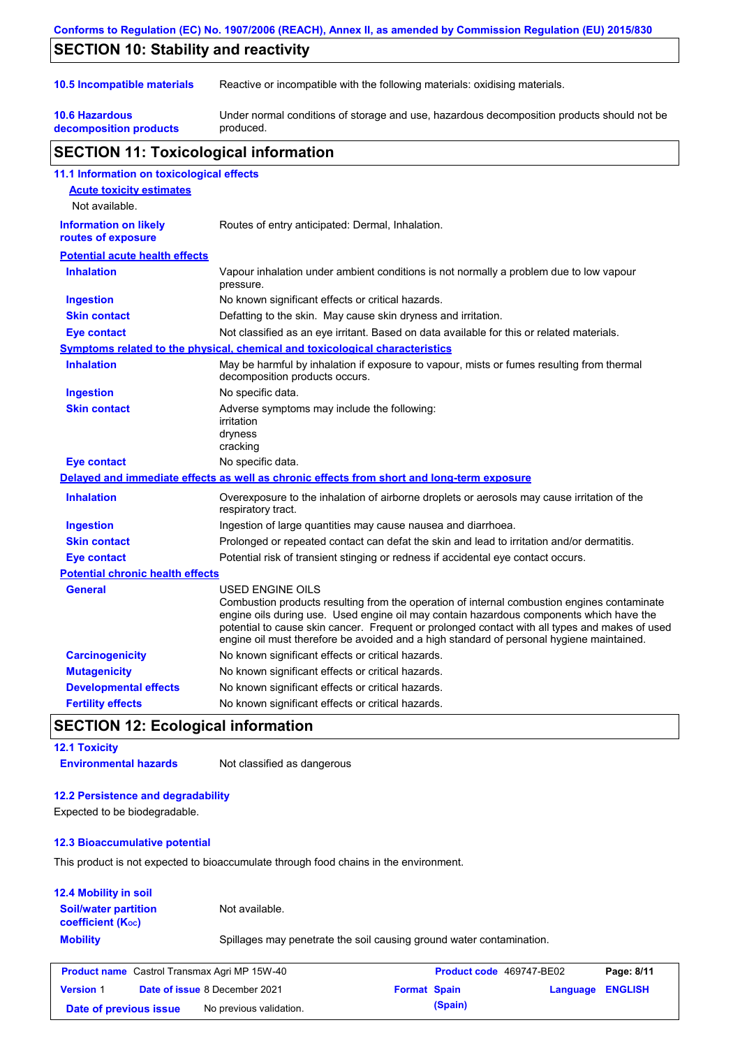| Conforms to Regulation (EC) No. 1907/2006 (REACH), Annex II, as amended by Commission Regulation (EU) 2015/830 |                                                                                                                                                                                                                                                                                                                                                                                                                 |  |  |  |
|----------------------------------------------------------------------------------------------------------------|-----------------------------------------------------------------------------------------------------------------------------------------------------------------------------------------------------------------------------------------------------------------------------------------------------------------------------------------------------------------------------------------------------------------|--|--|--|
| <b>SECTION 10: Stability and reactivity</b>                                                                    |                                                                                                                                                                                                                                                                                                                                                                                                                 |  |  |  |
|                                                                                                                |                                                                                                                                                                                                                                                                                                                                                                                                                 |  |  |  |
| 10.5 Incompatible materials                                                                                    | Reactive or incompatible with the following materials: oxidising materials.                                                                                                                                                                                                                                                                                                                                     |  |  |  |
| <b>10.6 Hazardous</b><br>decomposition products                                                                | Under normal conditions of storage and use, hazardous decomposition products should not be<br>produced.                                                                                                                                                                                                                                                                                                         |  |  |  |
| <b>SECTION 11: Toxicological information</b>                                                                   |                                                                                                                                                                                                                                                                                                                                                                                                                 |  |  |  |
| 11.1 Information on toxicological effects                                                                      |                                                                                                                                                                                                                                                                                                                                                                                                                 |  |  |  |
| <b>Acute toxicity estimates</b>                                                                                |                                                                                                                                                                                                                                                                                                                                                                                                                 |  |  |  |
| Not available.                                                                                                 |                                                                                                                                                                                                                                                                                                                                                                                                                 |  |  |  |
| <b>Information on likely</b><br>routes of exposure                                                             | Routes of entry anticipated: Dermal, Inhalation.                                                                                                                                                                                                                                                                                                                                                                |  |  |  |
| <b>Potential acute health effects</b>                                                                          |                                                                                                                                                                                                                                                                                                                                                                                                                 |  |  |  |
| <b>Inhalation</b>                                                                                              | Vapour inhalation under ambient conditions is not normally a problem due to low vapour<br>pressure.                                                                                                                                                                                                                                                                                                             |  |  |  |
| <b>Ingestion</b>                                                                                               | No known significant effects or critical hazards.                                                                                                                                                                                                                                                                                                                                                               |  |  |  |
| <b>Skin contact</b>                                                                                            | Defatting to the skin. May cause skin dryness and irritation.                                                                                                                                                                                                                                                                                                                                                   |  |  |  |
| <b>Eye contact</b>                                                                                             | Not classified as an eye irritant. Based on data available for this or related materials.                                                                                                                                                                                                                                                                                                                       |  |  |  |
|                                                                                                                | Symptoms related to the physical, chemical and toxicological characteristics                                                                                                                                                                                                                                                                                                                                    |  |  |  |
| <b>Inhalation</b>                                                                                              | May be harmful by inhalation if exposure to vapour, mists or fumes resulting from thermal<br>decomposition products occurs.                                                                                                                                                                                                                                                                                     |  |  |  |
| <b>Ingestion</b>                                                                                               | No specific data.                                                                                                                                                                                                                                                                                                                                                                                               |  |  |  |
| <b>Skin contact</b>                                                                                            | Adverse symptoms may include the following:<br>irritation<br>dryness<br>cracking                                                                                                                                                                                                                                                                                                                                |  |  |  |
| <b>Eye contact</b>                                                                                             | No specific data.                                                                                                                                                                                                                                                                                                                                                                                               |  |  |  |
|                                                                                                                | Delayed and immediate effects as well as chronic effects from short and long-term exposure                                                                                                                                                                                                                                                                                                                      |  |  |  |
| <b>Inhalation</b>                                                                                              | Overexposure to the inhalation of airborne droplets or aerosols may cause irritation of the<br>respiratory tract.                                                                                                                                                                                                                                                                                               |  |  |  |
| <b>Ingestion</b>                                                                                               | Ingestion of large quantities may cause nausea and diarrhoea.                                                                                                                                                                                                                                                                                                                                                   |  |  |  |
| <b>Skin contact</b>                                                                                            | Prolonged or repeated contact can defat the skin and lead to irritation and/or dermatitis.                                                                                                                                                                                                                                                                                                                      |  |  |  |
| <b>Eye contact</b>                                                                                             | Potential risk of transient stinging or redness if accidental eye contact occurs.                                                                                                                                                                                                                                                                                                                               |  |  |  |
| <b>Potential chronic health effects</b>                                                                        |                                                                                                                                                                                                                                                                                                                                                                                                                 |  |  |  |
| <b>General</b>                                                                                                 | <b>USED ENGINE OILS</b><br>Combustion products resulting from the operation of internal combustion engines contaminate<br>engine oils during use. Used engine oil may contain hazardous components which have the<br>potential to cause skin cancer. Frequent or prolonged contact with all types and makes of used<br>engine oil must therefore be avoided and a high standard of personal hygiene maintained. |  |  |  |
| <b>Carcinogenicity</b>                                                                                         | No known significant effects or critical hazards.                                                                                                                                                                                                                                                                                                                                                               |  |  |  |
| <b>Mutagenicity</b>                                                                                            | No known significant effects or critical hazards.                                                                                                                                                                                                                                                                                                                                                               |  |  |  |
| <b>Developmental effects</b>                                                                                   | No known significant effects or critical hazards.                                                                                                                                                                                                                                                                                                                                                               |  |  |  |
| <b>Fertility effects</b>                                                                                       | No known significant effects or critical hazards.                                                                                                                                                                                                                                                                                                                                                               |  |  |  |

## **SECTION 12: Ecological information**

### **12.1 Toxicity**

**Environmental hazards** Not classified as dangerous

### **12.2 Persistence and degradability**

Expected to be biodegradable.

### **12.3 Bioaccumulative potential**

This product is not expected to bioaccumulate through food chains in the environment.

| <b>12.4 Mobility in soil</b>                                  |                                                                      |
|---------------------------------------------------------------|----------------------------------------------------------------------|
| <b>Soil/water partition</b><br>coefficient (K <sub>oc</sub> ) | Not available.                                                       |
| <b>Mobility</b>                                               | Spillages may penetrate the soil causing ground water contamination. |

| <b>Product name</b> Castrol Transmax Agri MP 15W-40 |  |                                      | <b>Product code</b> 469747-BE02 | Page: 8/11 |                         |  |
|-----------------------------------------------------|--|--------------------------------------|---------------------------------|------------|-------------------------|--|
| <b>Version 1</b>                                    |  | <b>Date of issue 8 December 2021</b> | <b>Format Spain</b>             |            | <b>Language ENGLISH</b> |  |
| Date of previous issue                              |  | No previous validation.              |                                 | (Spain)    |                         |  |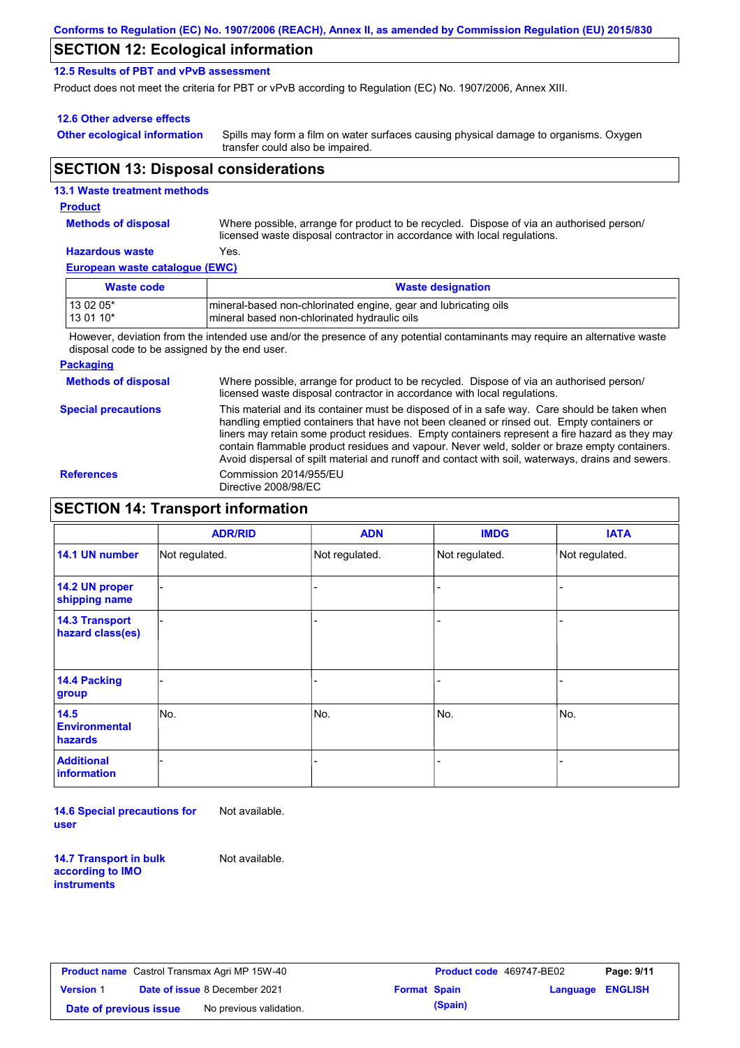### **SECTION 12: Ecological information**

### **12.5 Results of PBT and vPvB assessment**

Product does not meet the criteria for PBT or vPvB according to Regulation (EC) No. 1907/2006, Annex XIII.

### **12.6 Other adverse effects**

**Other ecological information**

Spills may form a film on water surfaces causing physical damage to organisms. Oxygen transfer could also be impaired.

## **SECTION 13: Disposal considerations**

| <b>13.1 Waste treatment methods</b> |                                                                                                                                                                      |
|-------------------------------------|----------------------------------------------------------------------------------------------------------------------------------------------------------------------|
| <b>Product</b>                      |                                                                                                                                                                      |
| <b>Methods of disposal</b>          | Where possible, arrange for product to be recycled. Dispose of via an authorised person/<br>licensed waste disposal contractor in accordance with local regulations. |
| <b>Hazardous waste</b>              | Yes.                                                                                                                                                                 |
| European waste catalogue (EWC)      |                                                                                                                                                                      |
| <b>Waste code</b>                   | <b>Waste designation</b>                                                                                                                                             |

13 02 05\* **mineral-based non-chlorinated engine, gear and lubricating oils** 

13 01 10<sup>\*</sup> https://wineral based non-chlorinated hydraulic oils

However, deviation from the intended use and/or the presence of any potential contaminants may require an alternative waste disposal code to be assigned by the end user.

#### **Packaging**

**Methods of disposal** Where possible, arrange for product to be recycled. Dispose of via an authorised person/ licensed waste disposal contractor in accordance with local regulations.

**Special precautions** This material and its container must be disposed of in a safe way. Care should be taken when handling emptied containers that have not been cleaned or rinsed out. Empty containers or liners may retain some product residues. Empty containers represent a fire hazard as they may contain flammable product residues and vapour. Never weld, solder or braze empty containers. Avoid dispersal of spilt material and runoff and contact with soil, waterways, drains and sewers. **References** Commission 2014/955/EU Directive 2008/98/EC

### **SECTION 14: Transport information**

|                                           | <b>ADR/RID</b> | <b>ADN</b>     | <b>IMDG</b>    | <b>IATA</b>    |
|-------------------------------------------|----------------|----------------|----------------|----------------|
| 14.1 UN number                            | Not regulated. | Not regulated. | Not regulated. | Not regulated. |
| 14.2 UN proper<br>shipping name           |                |                |                |                |
| <b>14.3 Transport</b><br>hazard class(es) |                |                |                |                |
| 14.4 Packing<br>group                     |                |                |                |                |
| 14.5<br><b>Environmental</b><br>hazards   | No.            | No.            | No.            | No.            |
| <b>Additional</b><br>information          |                |                |                |                |

**14.6 Special precautions for user** Not available.

**14.7 Transport in bulk according to IMO instruments**

Not available.

| <b>Product name</b> Castrol Transmax Agri MP 15W-40 |  |                                      | <b>Product code</b> 469747-BE02<br>Page: 9/11 |         |  |                         |
|-----------------------------------------------------|--|--------------------------------------|-----------------------------------------------|---------|--|-------------------------|
| <b>Version 1</b>                                    |  | <b>Date of issue 8 December 2021</b> | <b>Format Spain</b>                           |         |  | <b>Language ENGLISH</b> |
| Date of previous issue                              |  | No previous validation.              |                                               | (Spain) |  |                         |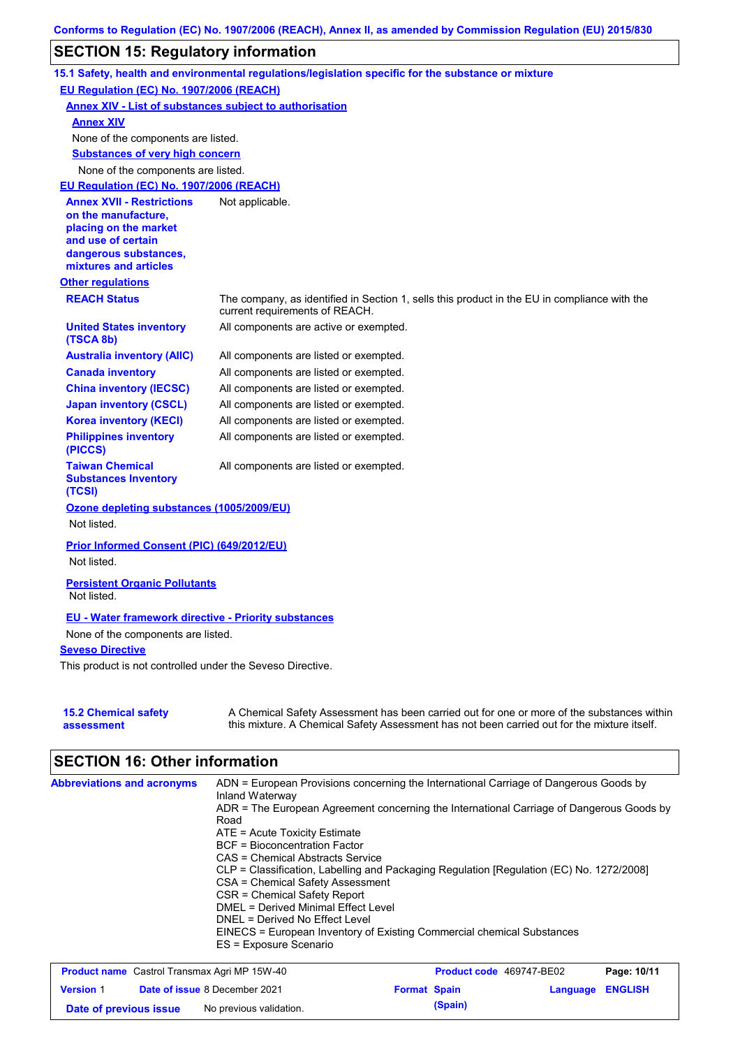## **SECTION 15: Regulatory information**

|                                                                 | 15.1 Safety, health and environmental regulations/legislation specific for the substance or mixture                                                                                       |
|-----------------------------------------------------------------|-------------------------------------------------------------------------------------------------------------------------------------------------------------------------------------------|
| EU Regulation (EC) No. 1907/2006 (REACH)                        |                                                                                                                                                                                           |
| <b>Annex XIV - List of substances subject to authorisation</b>  |                                                                                                                                                                                           |
| <b>Annex XIV</b>                                                |                                                                                                                                                                                           |
| None of the components are listed.                              |                                                                                                                                                                                           |
| <b>Substances of very high concern</b>                          |                                                                                                                                                                                           |
| None of the components are listed.                              |                                                                                                                                                                                           |
| EU Regulation (EC) No. 1907/2006 (REACH)                        |                                                                                                                                                                                           |
| <b>Annex XVII - Restrictions</b>                                | Not applicable.                                                                                                                                                                           |
| on the manufacture,<br>placing on the market                    |                                                                                                                                                                                           |
| and use of certain                                              |                                                                                                                                                                                           |
| dangerous substances,                                           |                                                                                                                                                                                           |
| mixtures and articles                                           |                                                                                                                                                                                           |
| <b>Other regulations</b>                                        |                                                                                                                                                                                           |
| <b>REACH Status</b>                                             | The company, as identified in Section 1, sells this product in the EU in compliance with the<br>current requirements of REACH.                                                            |
| <b>United States inventory</b><br>(TSCA 8b)                     | All components are active or exempted.                                                                                                                                                    |
| <b>Australia inventory (AIIC)</b>                               | All components are listed or exempted.                                                                                                                                                    |
| <b>Canada inventory</b>                                         | All components are listed or exempted.                                                                                                                                                    |
| <b>China inventory (IECSC)</b>                                  | All components are listed or exempted.                                                                                                                                                    |
| <b>Japan inventory (CSCL)</b>                                   | All components are listed or exempted.                                                                                                                                                    |
| <b>Korea inventory (KECI)</b>                                   | All components are listed or exempted.                                                                                                                                                    |
| <b>Philippines inventory</b><br>(PICCS)                         | All components are listed or exempted.                                                                                                                                                    |
| <b>Taiwan Chemical</b><br><b>Substances Inventory</b><br>(TCSI) | All components are listed or exempted.                                                                                                                                                    |
| Ozone depleting substances (1005/2009/EU)                       |                                                                                                                                                                                           |
| Not listed.                                                     |                                                                                                                                                                                           |
| Prior Informed Consent (PIC) (649/2012/EU)<br>Not listed.       |                                                                                                                                                                                           |
| <b>Persistent Organic Pollutants</b><br>Not listed.             |                                                                                                                                                                                           |
| <b>EU - Water framework directive - Priority substances</b>     |                                                                                                                                                                                           |
| None of the components are listed.                              |                                                                                                                                                                                           |
| <b>Seveso Directive</b>                                         |                                                                                                                                                                                           |
| This product is not controlled under the Seveso Directive.      |                                                                                                                                                                                           |
| <b>15.2 Chemical safety</b><br>assessment                       | A Chemical Safety Assessment has been carried out for one or more of the substances within<br>this mixture. A Chemical Safety Assessment has not been carried out for the mixture itself. |

# **SECTION 16: Other information**

| <b>Abbreviations and acronyms</b> | ADN = European Provisions concerning the International Carriage of Dangerous Goods by<br>Inland Waterway |
|-----------------------------------|----------------------------------------------------------------------------------------------------------|
|                                   | ADR = The European Agreement concerning the International Carriage of Dangerous Goods by                 |
|                                   | Road                                                                                                     |
|                                   | $ATE =$ Acute Toxicity Estimate                                                                          |
|                                   | <b>BCF</b> = Bioconcentration Factor                                                                     |
|                                   | CAS = Chemical Abstracts Service                                                                         |
|                                   | CLP = Classification, Labelling and Packaging Regulation [Regulation (EC) No. 1272/2008]                 |
|                                   | CSA = Chemical Safety Assessment                                                                         |
|                                   | CSR = Chemical Safety Report                                                                             |
|                                   | DMEL = Derived Minimal Effect Level                                                                      |
|                                   | DNEL = Derived No Effect Level                                                                           |
|                                   | EINECS = European Inventory of Existing Commercial chemical Substances                                   |
|                                   | ES = Exposure Scenario                                                                                   |

| <b>Product name</b> Castrol Transmax Agri MP 15W-40 |  |                                      | <b>Product code</b> 469747-BE02 |         | Page: 10/11             |  |
|-----------------------------------------------------|--|--------------------------------------|---------------------------------|---------|-------------------------|--|
| <b>Version 1</b>                                    |  | <b>Date of issue 8 December 2021</b> | <b>Format Spain</b>             |         | <b>Language ENGLISH</b> |  |
| Date of previous issue                              |  | No previous validation.              |                                 | (Spain) |                         |  |